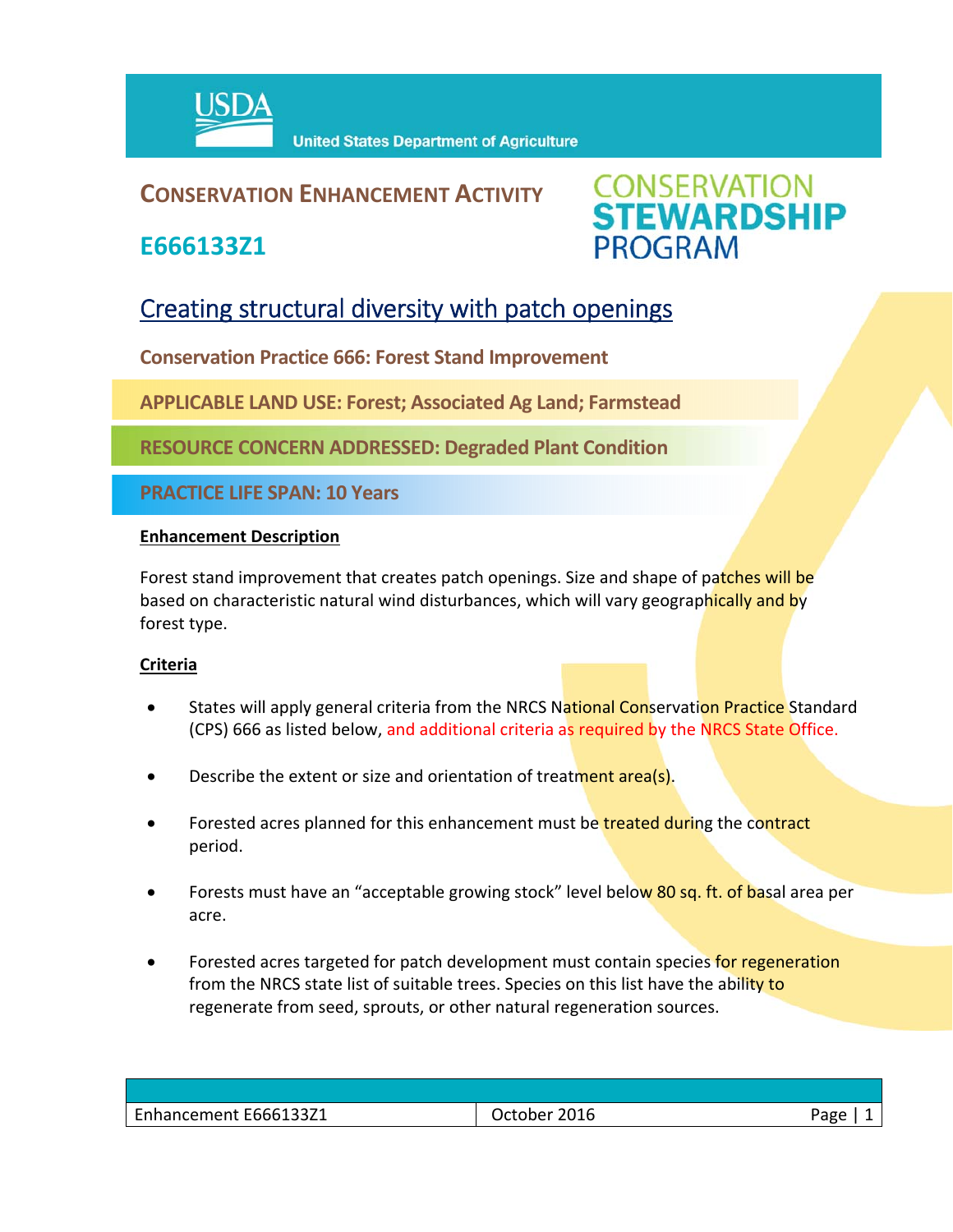

### **CONSERVATION ENHANCEMENT ACTIVITY**

**E666133Z1**



### Creating structural diversity with patch openings

**Conservation Practice 666: Forest Stand Improvement**

**APPLICABLE LAND USE: Forest; Associated Ag Land; Farmstead**

**RESOURCE CONCERN ADDRESSED: Degraded Plant Condition**

**PRACTICE LIFE SPAN: 10 Years**

#### **Enhancement Description**

Forest stand improvement that creates patch openings. Size and shape of patches will be based on characteristic natural wind disturbances, which will vary geographically and by forest type.

#### **Criteria**

- States will apply general criteria from the NRCS National Conservation Practice Standard (CPS) 666 as listed below, and additional criteria as required by the NRCS State Office.
- Describe the extent or size and orientation of treatment area(s).
- Forested acres planned for this enhancement must be treated during the contract period.
- Forests must have an "acceptable growing stock" level below 80 sq. ft. of basal area per acre.
- Forested acres targeted for patch development must contain species for regeneration from the NRCS state list of suitable trees. Species on this list have the ability to regenerate from seed, sprouts, or other natural regeneration sources.

| Enhancement E666133Z1 | 2016<br>Jctober - | חסבי |
|-----------------------|-------------------|------|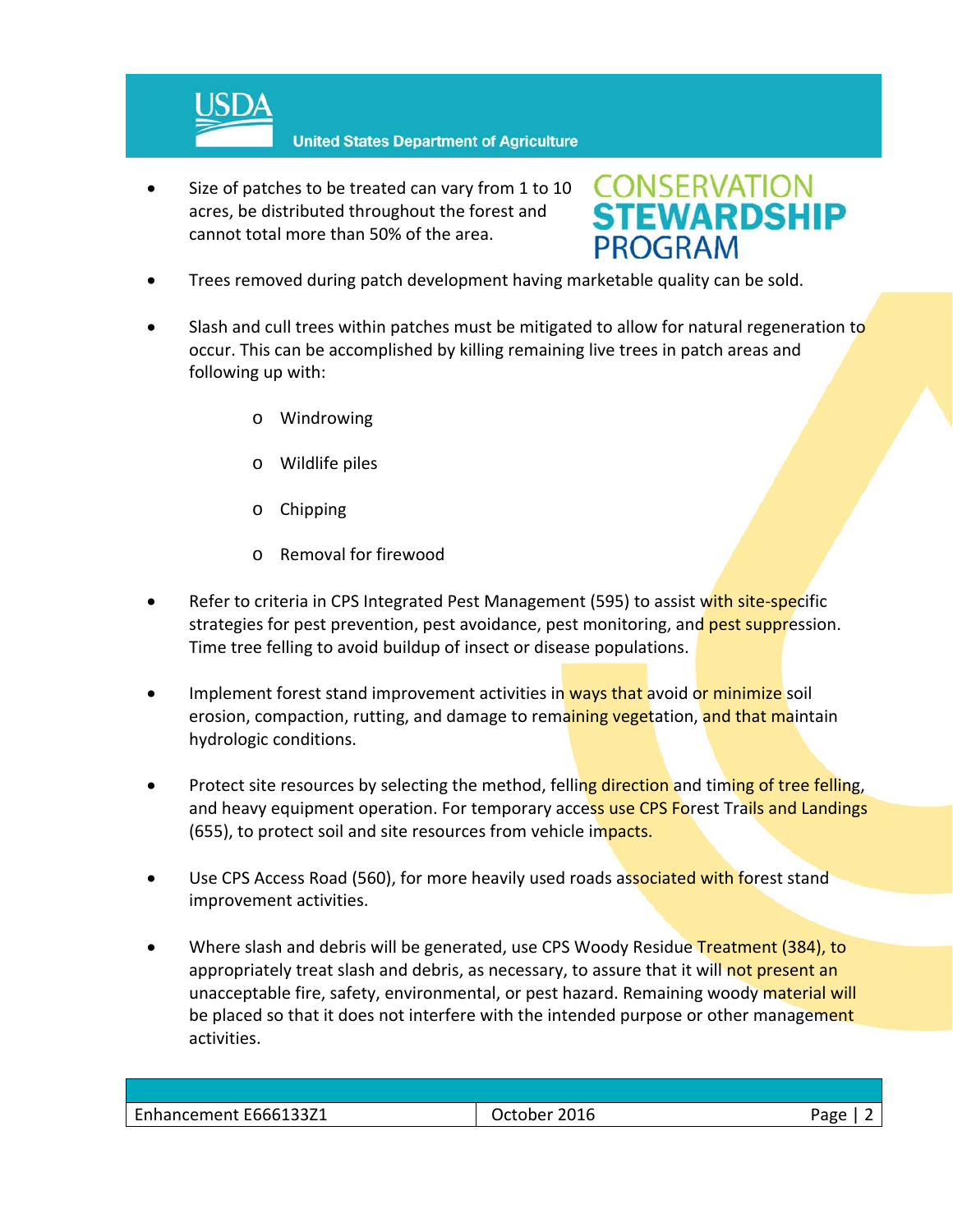

 Size of patches to be treated can vary from 1 to 10 acres, be distributed throughout the forest and cannot total more than 50% of the area.

# **CONSERVATION<br>STEWARDSHIP PROGRAM**

- Trees removed during patch development having marketable quality can be sold.
- Slash and cull trees within patches must be mitigated to allow for natural regeneration to occur. This can be accomplished by killing remaining live trees in patch areas and following up with:
	- o Windrowing
	- o Wildlife piles
	- o Chipping
	- o Removal for firewood
- Refer to criteria in CPS Integrated Pest Management (595) to assist with site-specific strategies for pest prevention, pest avoidance, pest monitoring, and pest suppression. Time tree felling to avoid buildup of insect or disease populations.
- Implement forest stand improvement activities in ways that avoid or minimize soil erosion, compaction, rutting, and damage to remaining vegetation, and that maintain hydrologic conditions.
- Protect site resources by selecting the method, felling direction and timing of tree felling, and heavy equipment operation. For temporary access use CPS Forest Trails and Landings (655), to protect soil and site resources from vehicle impacts.
- Use CPS Access Road (560), for more heavily used roads associated with forest stand improvement activities.
- Where slash and debris will be generated, use CPS Woody Residue Treatment (384), to appropriately treat slash and debris, as necessary, to assure that it will not present an unacceptable fire, safety, environmental, or pest hazard. Remaining woody material will be placed so that it does not interfere with the intended purpose or other management activities.

| Enhancement E66613321 | $  -$<br>LUID – | 'age |
|-----------------------|-----------------|------|
|                       |                 |      |